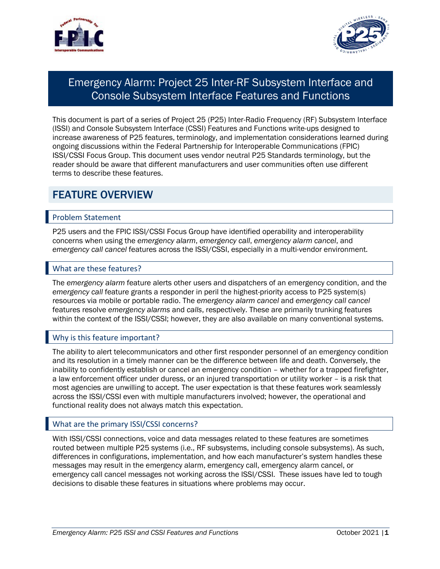



# Emergency Alarm: Project 25 Inter-RF Subsystem Interface and Console Subsystem Interface Features and Functions

 This document is part of a series of Project 25 (P25) Inter-Radio Frequency (RF) Subsystem Interface (ISSI) and Console Subsystem Interface (CSSI) Features and Functions write-ups designed to increase awareness of P25 features, terminology, and implementation considerations learned during ongoing discussions within the Federal Partnership for Interoperable Communications (FPIC) reader should be aware that different manufacturers and user communities often use different terms to describe these features. ISSI/CSSI Focus Group. This document uses vendor neutral P25 Standards terminology, but the

### FEATURE OVERVIEW

### Problem Statement

 P25 users and the FPIC ISSI/CSSI Focus Group have identified operability and interoperability concerns when using the *emergency alarm*, *emergency call*, *emergency alarm cancel*, and *emergency call cancel* features across the ISSI/CSSI, especially in a multi-vendor environment.

#### What are these features?

 *emergency call* feature grants a responder in peril the highest-priority access to P25 system(s) features resolve *emergency alarms* and *calls*, respectively. These are primarily trunking features within the context of the ISSI/CSSI; however, they are also available on many conventional systems. The *emergency alarm* feature alerts other users and dispatchers of an emergency condition, and the resources via mobile or portable radio. The *emergency alarm cancel* and *emergency call cancel* 

### Why is this feature important?

 The ability to alert telecommunicators and other first responder personnel of an emergency condition and its resolution in a timely manner can be the difference between life and death. Conversely, the inability to confidently establish or cancel an emergency condition – whether for a trapped firefighter, a law enforcement officer under duress, or an injured transportation or utility worker – is a risk that across the ISSI/CSSI even with multiple manufacturers involved; however, the operational and most agencies are unwilling to accept. The user expectation is that these features work seamlessly functional reality does not always match this expectation.

### What are the primary ISSI/CSSI concerns?

 With ISSI/CSSI connections, voice and data messages related to these features are sometimes messages may result in the emergency alarm, emergency call, emergency alarm cancel, or emergency call cancel messages not working across the ISSI/CSSI. These issues have led to tough decisions to disable these features in situations where problems may occur. routed between multiple P25 systems (i.e., RF subsystems, including console subsystems). As such, differences in configurations, implementation, and how each manufacturer's system handles these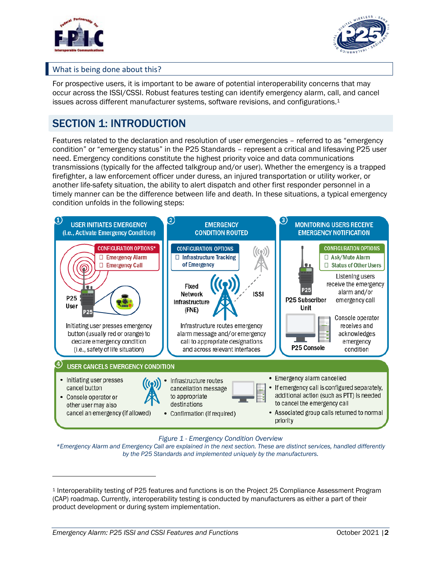



### What is being done about this?

 For prospective users, it is important to be aware of potential interoperability concerns that may occur across the ISSI/CSSI. Robust features testing can identify emergency alarm, call, and cancel issues across different manufacturer systems, software revisions, and configurations.<sup>1</sup>

## SECTION 1: INTRODUCTION

 Features related to the declaration and resolution of user emergencies – referred to as "emergency condition" or "emergency status" in the P25 Standards – represent a critical and lifesaving P25 user need. Emergency conditions constitute the highest priority voice and data communications firefighter, a law enforcement officer under duress, an injured transportation or utility worker, or another life-safety situation, the ability to alert dispatch and other first responder personnel in a timely manner can be the difference between life and death. In these situations, a typical emergency transmissions (typically for the affected talkgroup and/or user). Whether the emergency is a trapped condition unfolds in the following steps:



#### *Figure 1 - Emergency Condition Overview*

 *\*Emergency Alarm and Emergency Call are explained in the next section. These are distinct services, handled differently by the P25 Standards and implemented uniquely by the manufacturers.* 

 <sup>1</sup> Interoperability testing of P25 features and functions is on the Project 25 Compliance Assessment Program product development or during system implementation. (CAP) roadmap. Currently, interoperability testing is conducted by manufacturers as either a part of their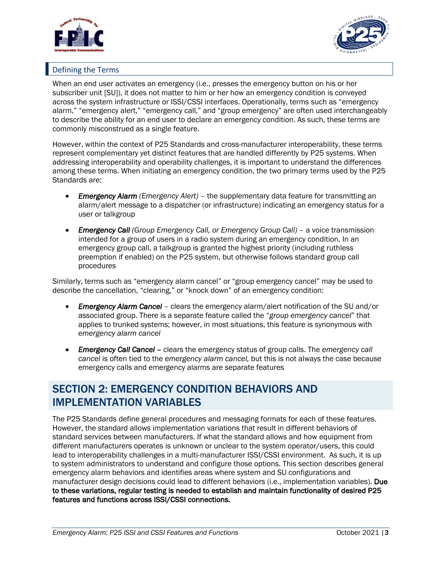



### Defining the Terms

 When an end user activates an emergency (i.e., presses the emergency button on his or her across the system infrastructure or ISSI/CSSI interfaces. Operationally, terms such as "emergency alarm," "emergency alert," "emergency call," and "group emergency" are often used interchangeably to describe the ability for an end user to declare an emergency condition. As such, these terms are commonly misconstrued as a single feature. subscriber unit [SU]), it does not matter to him or her how an emergency condition is conveyed

 However, within the context of P25 Standards and cross-manufacturer interoperability, these terms represent complementary yet distinct features that are handled differently by P25 systems. When addressing interoperability and operability challenges, it is important to understand the differences among these terms. When initiating an emergency condition, the two primary terms used by the P25 Standards are:

- Emergency Alarm (Emergency Alert) the supplementary data feature for transmitting an alarm/alert message to a dispatcher (or infrastructure) indicating an emergency status for a user or talkgroup
- *Emergency Call (Group Emergency Call, or Emergency Group Call) a voice transmission*  intended for a group of users in a radio system during an emergency condition. In an emergency group call, a talkgroup is granted the highest priority (including ruthless preemption if enabled) on the P25 system, but otherwise follows standard group call procedures

 Similarly, terms such as "emergency alarm cancel" or "group emergency cancel" may be used to describe the cancellation, "clearing," or "knock down" of an emergency condition:

- Emergency Alarm Cancel clears the emergency alarm/alert notification of the SU and/or associated group. There is a separate feature called the "*group emergency cancel*" that applies to trunked systems; however, in most situations, this feature is synonymous with *emergency alarm cancel*
- **Emergency Call Cancel -** clears the emergency status of group calls. The emergency call *cancel* is often tied to the *emergency alarm cancel,* but this is not always the case because emergency calls and emergency alarms are separate features

### SECTION 2: EMERGENCY CONDITION BEHAVIORS AND IMPLEMENTATION VARIABLES

 However, the standard allows implementation variations that result in different behaviors of different manufacturers operates is unknown or unclear to the system operator/users, this could lead to interoperability challenges in a multi-manufacturer ISSI/CSSI environment. As such, it is up to system administrators to understand and configure those options. This section describes general emergency alarm behaviors and identifies areas where system and SU configurations and manufacturer design decisions could lead to different behaviors (i.e., implementation variables). Due to these variations, regular testing is needed to establish and maintain functionality of desired P25 The P25 Standards define general procedures and messaging formats for each of these features. standard services between manufacturers. If what the standard allows and how equipment from features and functions across ISSI/CSSI connections.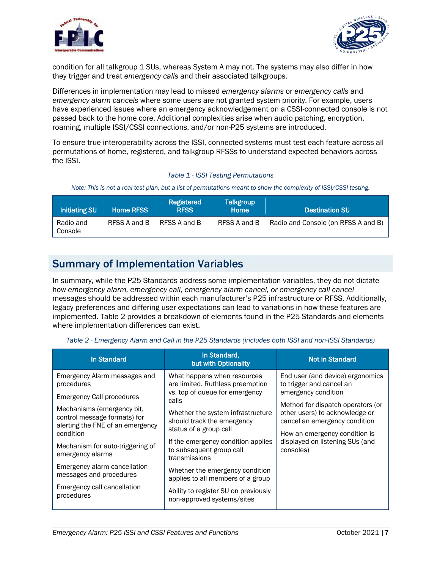



 condition for all talkgroup 1 SUs, whereas System A may not. The systems may also differ in how they trigger and treat *emergency calls* and their associated talkgroups.

 Differences in implementation may lead to missed *emergency alarms* or *emergency calls* and *emergency alarm cancels* where some users are not granted system priority. For example, users have experienced issues where an emergency acknowledgement on a CSSI-connected console is not passed back to the home core. Additional complexities arise when audio patching, encryption, roaming, multiple ISSI/CSSI connections, and/or non-P25 systems are introduced.

 To ensure true interoperability across the ISSI, connected systems must test each feature across all permutations of home, registered, and talkgroup RFSSs to understand expected behaviors across the ISSI.

#### *Table 1 - ISSI Testing Permutations*

Note: This is not a real test plan, but a list of permutations meant to show the complexity of ISSI/CSSI testing.

| <b>Initiating SU</b> | <b>Home RFSS</b> | Registered<br><b>RFSS</b> | <b>Talkgroup</b><br><b>Home</b> | <b>Destination SU</b>               |
|----------------------|------------------|---------------------------|---------------------------------|-------------------------------------|
| Radio and<br>Console | RFSS A and B     | RFSS A and B              | RFSS A and B                    | Radio and Console (on RFSS A and B) |

### Summary of Implementation Variables

 In summary, while the P25 Standards address some implementation variables, they do not dictate messages should be addressed within each manufacturer's P25 infrastructure or RFSS. Additionally, implemented. Table 2 provides a breakdown of elements found in the P25 Standards and elements how *emergency alarm, emergency call, emergency alarm cancel, or emergency call cancel*  legacy preferences and differing user expectations can lead to variations in how these features are where implementation differences can exist.

 *Table 2 - Emergency Alarm and Call in the P25 Standards (includes both ISSI and non-ISSI Standards)* 

| <b>In Standard</b>                                                                                          | In Standard,<br>but with Optionality                                                                       | <b>Not in Standard</b>                                                                                                                                                                                                                                                       |
|-------------------------------------------------------------------------------------------------------------|------------------------------------------------------------------------------------------------------------|------------------------------------------------------------------------------------------------------------------------------------------------------------------------------------------------------------------------------------------------------------------------------|
| Emergency Alarm messages and<br>procedures<br><b>Emergency Call procedures</b>                              | What happens when resources<br>are limited. Ruthless preemption<br>vs. top of queue for emergency<br>calls | End user (and device) ergonomics<br>to trigger and cancel an<br>emergency condition<br>Method for dispatch operators (or<br>other users) to acknowledge or<br>cancel an emergency condition<br>How an emergency condition is<br>displayed on listening SUs (and<br>consoles) |
| Mechanisms (emergency bit,<br>control message formats) for<br>alerting the FNE of an emergency<br>condition | Whether the system infrastructure<br>should track the emergency<br>status of a group call                  |                                                                                                                                                                                                                                                                              |
| Mechanism for auto-triggering of<br>emergency alarms                                                        | If the emergency condition applies<br>to subsequent group call<br>transmissions                            |                                                                                                                                                                                                                                                                              |
| Emergency alarm cancellation<br>messages and procedures                                                     | Whether the emergency condition<br>applies to all members of a group                                       |                                                                                                                                                                                                                                                                              |
| Emergency call cancellation<br>procedures                                                                   | Ability to register SU on previously<br>non-approved systems/sites                                         |                                                                                                                                                                                                                                                                              |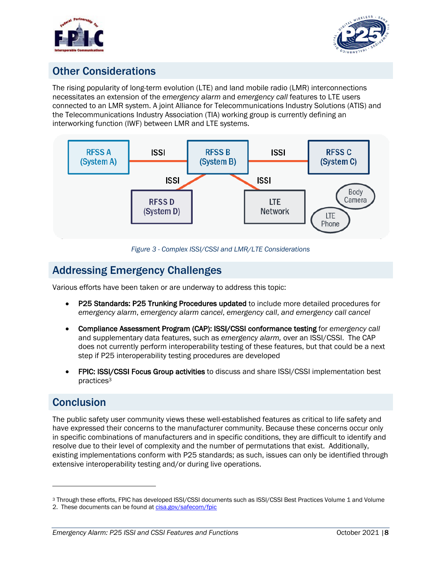



# Other Considerations

 The rising popularity of long-term evolution (LTE) and land mobile radio (LMR) interconnections necessitates an extension of the *emergency alarm* and *emergency call* features to LTE users connected to an LMR system. A joint Alliance for Telecommunications Industry Solutions (ATIS) and the Telecommunications Industry Association (TIA) working group is currently defining an interworking function (IWF) between LMR and LTE systems.



 *Figure 3 - Complex ISSI/CSSI and LMR/LTE Considerations* 

## Addressing Emergency Challenges

Various efforts have been taken or are underway to address this topic:

- P25 Standards: P25 Trunking Procedures updated to include more detailed procedures for *emergency alarm*, *emergency alarm cancel*, *emergency call*, *and emergency call cancel*
- • Compliance Assessment Program (CAP): ISSI/CSSI conformance testing for *emergency call* and supplementary data features, such as *emergency alarm,* over an ISSI/CSSI. The CAP does not currently perform interoperability testing of these features, but that could be a next step if P25 interoperability testing procedures are developed
- FPIC: ISSI/CSSI Focus Group activities to discuss and share ISSI/CSSI implementation best practices3

### **Conclusion**

 The public safety user community views these well-established features as critical to life safety and have expressed their concerns to the manufacturer community. Because these concerns occur only in specific combinations of manufacturers and in specific conditions, they are difficult to identify and resolve due to their level of complexity and the number of permutations that exist. Additionally, existing implementations conform with P25 standards; as such, issues can only be identified through extensive interoperability testing and/or during live operations.

 <sup>3</sup> Through these efforts, FPIC has developed ISSI/CSSI documents such as ISSI/CSSI Best Practices Volume 1 and Volume

<sup>2.</sup> These documents can be found at [cisa.gov/safecom/fpic](https://cisa.gov/safecom/fpic)